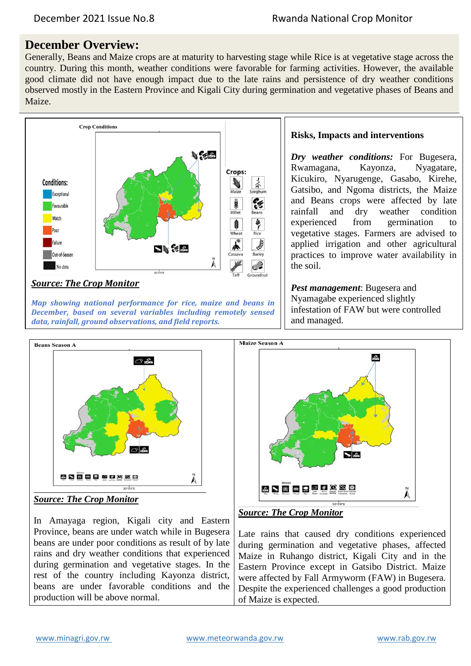# **December Overview:**

Generally, Beans and Maize crops are at maturity to harvesting stage while Rice is at vegetative stage across the country. During this month, weather conditions were favorable for farming activities. However, the available good climate did not have enough impact due to the late rains and persistence of dry weather conditions observed mostly in the Eastern Province and Kigali City during germination and vegetative phases of Beans and Maize.



*Map showing national performance for rice, maize and beans in December, based on several variables including remotely sensed data, rainfall, ground observations, and field reports.*

### **Risks, Impacts and interventions**

*Dry weather conditions:* For Bugesera, Rwamagana, Kayonza, Nyagatare, Kicukiro, Nyarugenge, Gasabo, Kirehe, Gatsibo, and Ngoma districts, the Maize and Beans crops were affected by late rainfall and dry weather condition experienced from germination to vegetative stages. Farmers are advised to applied irrigation and other agricultural practices to improve water availability in the soil.

*Pest management*: Bugesera and Nyamagabe experienced slightly infestation of FAW but were controlled and managed.





In Amayaga region, Kigali city and Eastern Province, beans are under watch while in Bugesera beans are under poor conditions as result of by late rains and dry weather conditions that experienced during germination and vegetative stages. In the rest of the country including Kayonza district, beans are under favorable conditions and the production will be above normal.



## *Source: The Crop Monitor*

Late rains that caused dry conditions experienced during germination and vegetative phases, affected Maize in Ruhango district, Kigali City and in the Eastern Province except in Gatsibo District. Maize were affected by Fall Armyworm (FAW) in Bugesera. Despite the experienced challenges a good production of Maize is expected.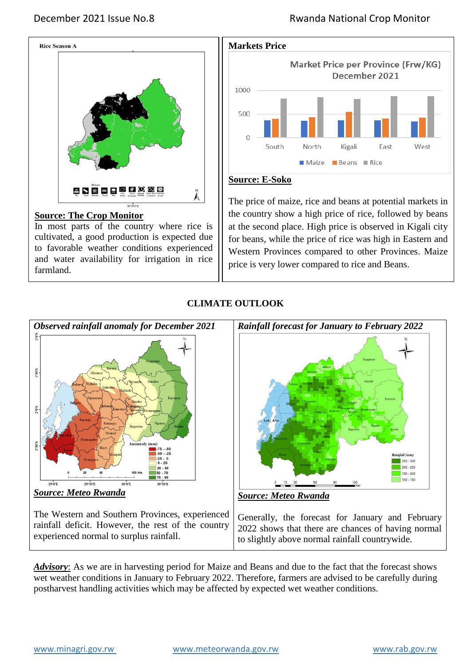



## **Source: E-Soko**

**Source: The Crop Monitor**

In most parts of the country where rice is cultivated, a good production is expected due to favorable weather conditions experienced and water availability for irrigation in rice farmland.

The price of maize, rice and beans at potential markets in the country show a high price of rice, followed by beans at the second place. High price is observed in Kigali city for beans, while the price of rice was high in Eastern and Western Provinces compared to other Provinces. Maize price is very lower compared to rice and Beans.



The Western and Southern Provinces, experienced rainfall deficit. However, the rest of the country experienced normal to surplus rainfall.

Generally, the forecast for January and February 2022 shows that there are chances of having normal to slightly above normal rainfall countrywide.

*Advisory*: As we are in harvesting period for Maize and Beans and due to the fact that the forecast shows wet weather conditions in January to February 2022. Therefore, farmers are advised to be carefully during postharvest handling activities which may be affected by expected wet weather conditions.

## **CLIMATE OUTLOOK**